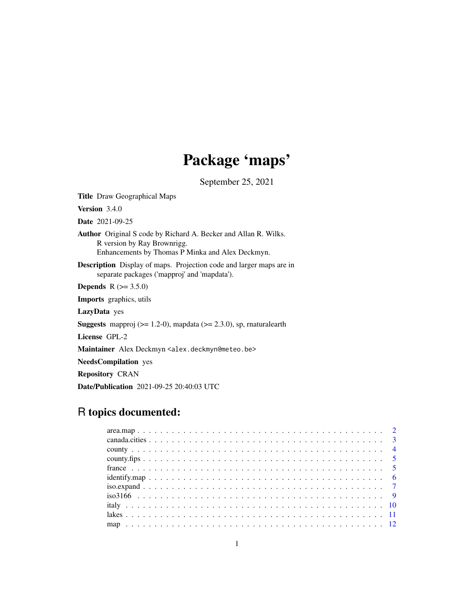## Package 'maps'

September 25, 2021

<span id="page-0-0"></span>Title Draw Geographical Maps Version 3.4.0 Date 2021-09-25 Author Original S code by Richard A. Becker and Allan R. Wilks. R version by Ray Brownrigg. Enhancements by Thomas P Minka and Alex Deckmyn. Description Display of maps. Projection code and larger maps are in separate packages ('mapproj' and 'mapdata'). **Depends**  $R (= 3.5.0)$ Imports graphics, utils LazyData yes **Suggests** mapproj  $(>= 1.2\n-0)$ , mapdata  $(>= 2.3.0)$ , sp, maturalearth License GPL-2 Maintainer Alex Deckmyn <alex.deckmyn@meteo.be> NeedsCompilation yes Repository CRAN Date/Publication 2021-09-25 20:40:03 UTC

## R topics documented: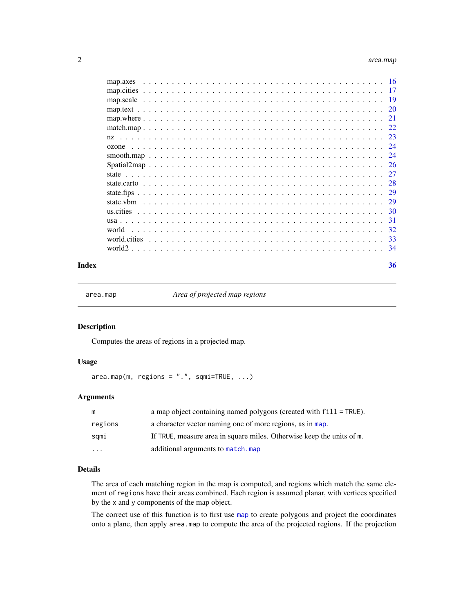#### <span id="page-1-0"></span>2 area.map area.org and the contract of the contract of the contract of the contract of the contract of the contract of the contract of the contract of the contract of the contract of the contract of the contract of the co

| map.axes    |     |
|-------------|-----|
|             | 17  |
|             | 19  |
|             | 20  |
|             | 21  |
|             | 22  |
| nz          | 23  |
| ozone       | 24  |
|             | 24  |
|             | -26 |
|             | 27  |
| state.carto | 28  |
|             | 29  |
|             | -29 |
|             | 30  |
|             | -31 |
|             | 32  |
|             | -33 |
|             | -34 |

#### **Index** [36](#page-35-0)

area.map *Area of projected map regions*

### Description

Computes the areas of regions in a projected map.

### Usage

 $area.map(m, regions = "." , squareTRUE, ...)$ 

### Arguments

| m        | a map object containing named polygons (created with $fill = TRUE$ ). |
|----------|-----------------------------------------------------------------------|
| regions  | a character vector naming one of more regions, as in map.             |
| sami     | If TRUE, measure area in square miles. Otherwise keep the units of m. |
| $\cdots$ | additional arguments to match.map                                     |

### Details

The area of each matching region in the map is computed, and regions which match the same element of regions have their areas combined. Each region is assumed planar, with vertices specified by the x and y components of the map object.

The correct use of this function is to first use [map](#page-11-1) to create polygons and project the coordinates onto a plane, then apply area.map to compute the area of the projected regions. If the projection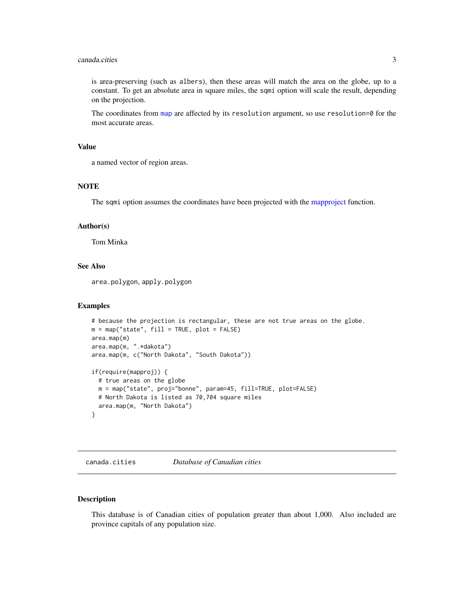#### <span id="page-2-0"></span>canada.cities 3

is area-preserving (such as albers), then these areas will match the area on the globe, up to a constant. To get an absolute area in square miles, the sqmi option will scale the result, depending on the projection.

The coordinates from [map](#page-11-1) are affected by its resolution argument, so use resolution=0 for the most accurate areas.

#### Value

a named vector of region areas.

### **NOTE**

The sqmi option assumes the coordinates have been projected with the [mapproject](#page-0-0) function.

#### Author(s)

Tom Minka

### See Also

area.polygon, apply.polygon

#### Examples

```
# because the projection is rectangular, these are not true areas on the globe.
m = map("state", fill = TRUE, plot = FALSE)area.map(m)
area.map(m, ".*dakota")
area.map(m, c("North Dakota", "South Dakota"))
if(require(mapproj)) {
  # true areas on the globe
  m = map("state", proj="bonne", param=45, fill=TRUE, plot=FALSE)
  # North Dakota is listed as 70,704 square miles
  area.map(m, "North Dakota")
}
```
<span id="page-2-1"></span>canada.cities *Database of Canadian cities*

### Description

This database is of Canadian cities of population greater than about 1,000. Also included are province capitals of any population size.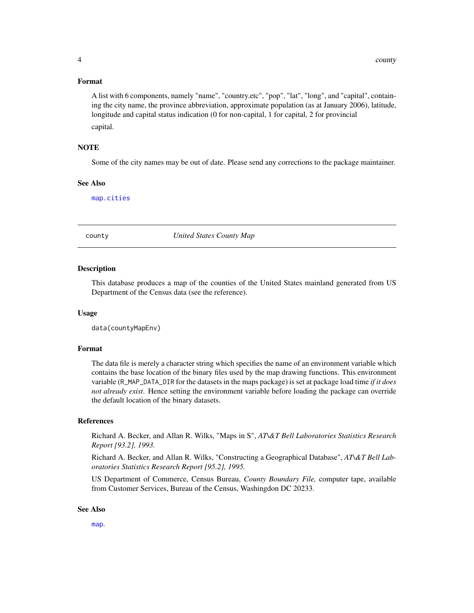<span id="page-3-0"></span>A list with 6 components, namely "name", "country.etc", "pop", "lat", "long", and "capital", containing the city name, the province abbreviation, approximate population (as at January 2006), latitude, longitude and capital status indication (0 for non-capital, 1 for capital, 2 for provincial capital.

#### **NOTE**

Some of the city names may be out of date. Please send any corrections to the package maintainer.

#### See Also

[map.cities](#page-16-1)

<span id="page-3-1"></span>county *United States County Map*

### **Description**

This database produces a map of the counties of the United States mainland generated from US Department of the Census data (see the reference).

#### Usage

data(countyMapEnv)

### Format

The data file is merely a character string which specifies the name of an environment variable which contains the base location of the binary files used by the map drawing functions. This environment variable (R\_MAP\_DATA\_DIR for the datasets in the maps package) is set at package load time *if it does not already exist*. Hence setting the environment variable before loading the package can override the default location of the binary datasets.

### References

Richard A. Becker, and Allan R. Wilks, "Maps in S", *AT\&T Bell Laboratories Statistics Research Report [93.2], 1993.*

Richard A. Becker, and Allan R. Wilks, "Constructing a Geographical Database", *AT\&T Bell Laboratories Statistics Research Report [95.2], 1995.*

US Department of Commerce, Census Bureau, *County Boundary File,* computer tape, available from Customer Services, Bureau of the Census, Washingdon DC 20233.

#### See Also

[map](#page-11-1).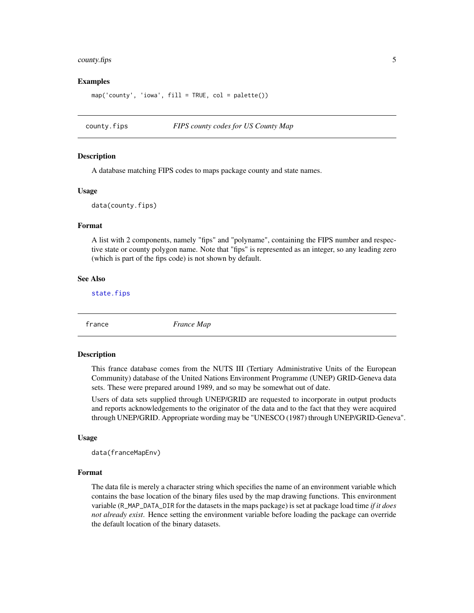#### <span id="page-4-0"></span>county.fips 5

### Examples

map('county', 'iowa', fill = TRUE, col = palette())

<span id="page-4-1"></span>county.fips *FIPS county codes for US County Map*

#### Description

A database matching FIPS codes to maps package county and state names.

#### Usage

data(county.fips)

### Format

A list with 2 components, namely "fips" and "polyname", containing the FIPS number and respective state or county polygon name. Note that "fips" is represented as an integer, so any leading zero (which is part of the fips code) is not shown by default.

### See Also

[state.fips](#page-28-1)

france *France Map*

#### **Description**

This france database comes from the NUTS III (Tertiary Administrative Units of the European Community) database of the United Nations Environment Programme (UNEP) GRID-Geneva data sets. These were prepared around 1989, and so may be somewhat out of date.

Users of data sets supplied through UNEP/GRID are requested to incorporate in output products and reports acknowledgements to the originator of the data and to the fact that they were acquired through UNEP/GRID. Appropriate wording may be "UNESCO (1987) through UNEP/GRID-Geneva".

#### Usage

data(franceMapEnv)

### Format

The data file is merely a character string which specifies the name of an environment variable which contains the base location of the binary files used by the map drawing functions. This environment variable (R\_MAP\_DATA\_DIR for the datasets in the maps package) is set at package load time *if it does not already exist*. Hence setting the environment variable before loading the package can override the default location of the binary datasets.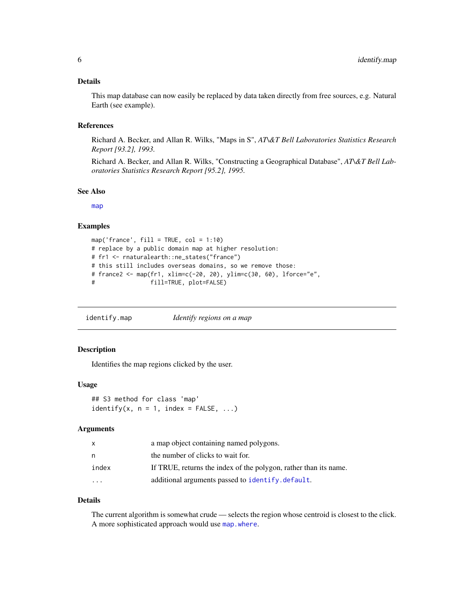### <span id="page-5-0"></span>Details

This map database can now easily be replaced by data taken directly from free sources, e.g. Natural Earth (see example).

### References

Richard A. Becker, and Allan R. Wilks, "Maps in S", *AT\&T Bell Laboratories Statistics Research Report [93.2], 1993.*

Richard A. Becker, and Allan R. Wilks, "Constructing a Geographical Database", *AT\&T Bell Laboratories Statistics Research Report [95.2], 1995.*

#### See Also

[map](#page-11-1)

### Examples

```
map('france', fill = TRUE, col = 1:10)
# replace by a public domain map at higher resolution:
# fr1 <- rnaturalearth::ne_states("france")
# this still includes overseas domains, so we remove those:
# france2 <- map(fr1, xlim=c(-20, 20), ylim=c(30, 60), lforce="e",
# fill=TRUE, plot=FALSE)
```
identify.map *Identify regions on a map*

### Description

Identifies the map regions clicked by the user.

#### Usage

```
## S3 method for class 'map'
identity(x, n = 1, index = FALSE, ...)
```
#### Arguments

| $\mathsf{x}$            | a map object containing named polygons.                          |
|-------------------------|------------------------------------------------------------------|
| n                       | the number of clicks to wait for.                                |
| index                   | If TRUE, returns the index of the polygon, rather than its name. |
| $\cdot$ $\cdot$ $\cdot$ | additional arguments passed to identify.default.                 |

### Details

The current algorithm is somewhat crude — selects the region whose centroid is closest to the click. A more sophisticated approach would use [map.where](#page-20-1).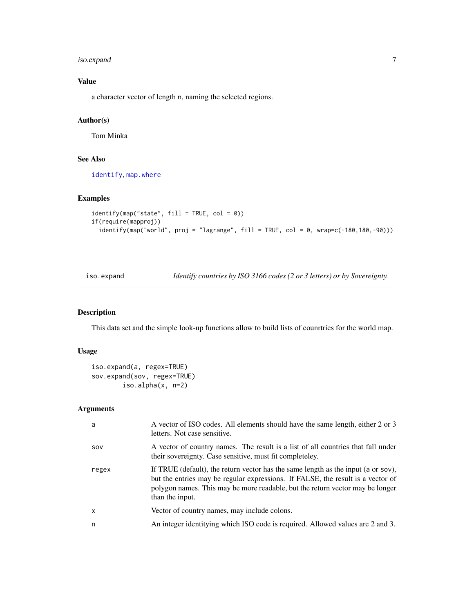### <span id="page-6-0"></span>iso.expand 7

### Value

a character vector of length n, naming the selected regions.

### Author(s)

Tom Minka

### See Also

[identify](#page-0-0), [map.where](#page-20-1)

### Examples

```
identify(map("state", fill = TRUE, col = 0))
if(require(mapproj))
 identity(map("world", proj = "lagrange", fill = TRUE, col = 0, wrap=c(-180,180,-90)))
```
<span id="page-6-1"></span>iso.expand *Identify countries by ISO 3166 codes (2 or 3 letters) or by Sovereignty.*

### Description

This data set and the simple look-up functions allow to build lists of counrtries for the world map.

### Usage

iso.expand(a, regex=TRUE) sov.expand(sov, regex=TRUE) iso.alpha(x, n=2)

### Arguments

| a     | A vector of ISO codes. All elements should have the same length, either 2 or 3<br>letters. Not case sensitive.                                                                                                                                                           |
|-------|--------------------------------------------------------------------------------------------------------------------------------------------------------------------------------------------------------------------------------------------------------------------------|
| SOV   | A vector of country names. The result is a list of all countries that fall under<br>their sovereignty. Case sensitive, must fit completeley.                                                                                                                             |
| regex | If TRUE (default), the return vector has the same length as the input (a or sov),<br>but the entries may be regular expressions. If FALSE, the result is a vector of<br>polygon names. This may be more readable, but the return vector may be longer<br>than the input. |
| X     | Vector of country names, may include colons.                                                                                                                                                                                                                             |
| n     | An integer identitying which ISO code is required. Allowed values are 2 and 3.                                                                                                                                                                                           |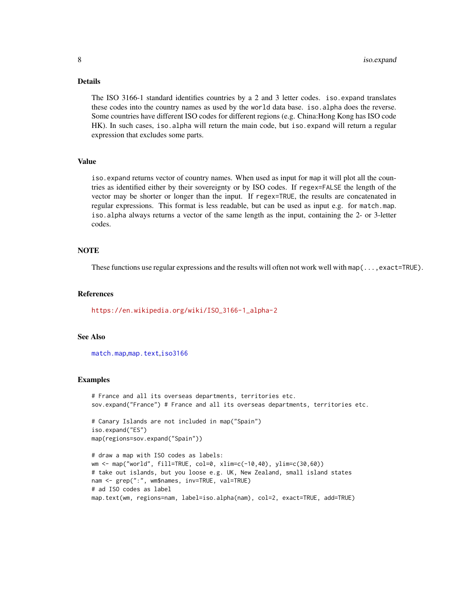### <span id="page-7-0"></span>Details

The ISO 3166-1 standard identifies countries by a 2 and 3 letter codes. iso.expand translates these codes into the country names as used by the world data base. iso.alpha does the reverse. Some countries have different ISO codes for different regions (e.g. China:Hong Kong has ISO code HK). In such cases, iso.alpha will return the main code, but iso.expand will return a regular expression that excludes some parts.

### Value

iso.expand returns vector of country names. When used as input for map it will plot all the countries as identified either by their sovereignty or by ISO codes. If regex=FALSE the length of the vector may be shorter or longer than the input. If regex=TRUE, the results are concatenated in regular expressions. This format is less readable, but can be used as input e.g. for match.map. iso.alpha always returns a vector of the same length as the input, containing the 2- or 3-letter codes.

### **NOTE**

These functions use regular expressions and the results will often not work well with map(..., exact=TRUE).

#### References

[https://en.wikipedia.org/wiki/ISO\\_3166-1\\_alpha-2](https://en.wikipedia.org/wiki/ISO_3166-1_alpha-2)

#### See Also

[match.map](#page-21-1),[map.text](#page-19-1),[iso3166](#page-8-1)

#### Examples

# France and all its overseas departments, territories etc. sov.expand("France") # France and all its overseas departments, territories etc.

```
# Canary Islands are not included in map("Spain")
iso.expand("ES")
map(regions=sov.expand("Spain"))
```

```
# draw a map with ISO codes as labels:
wm <- map("world", fill=TRUE, col=0, xlim=c(-10,40), ylim=c(30,60))
# take out islands, but you loose e.g. UK, New Zealand, small island states
nam <- grep(":", wm$names, inv=TRUE, val=TRUE)
# ad ISO codes as label
map.text(wm, regions=nam, label=iso.alpha(nam), col=2, exact=TRUE, add=TRUE)
```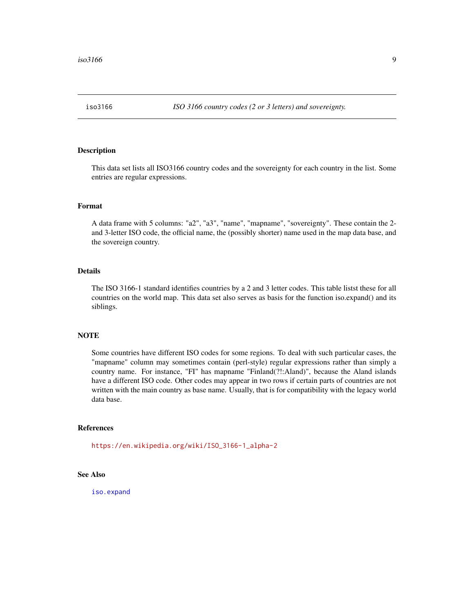<span id="page-8-1"></span><span id="page-8-0"></span>

This data set lists all ISO3166 country codes and the sovereignty for each country in the list. Some entries are regular expressions.

#### Format

A data frame with 5 columns: "a2", "a3", "name", "mapname", "sovereignty". These contain the 2 and 3-letter ISO code, the official name, the (possibly shorter) name used in the map data base, and the sovereign country.

#### Details

The ISO 3166-1 standard identifies countries by a 2 and 3 letter codes. This table listst these for all countries on the world map. This data set also serves as basis for the function iso.expand() and its siblings.

### **NOTE**

Some countries have different ISO codes for some regions. To deal with such particular cases, the "mapname" column may sometimes contain (perl-style) regular expressions rather than simply a country name. For instance, "FI" has mapname "Finland(?!:Aland)", because the Aland islands have a different ISO code. Other codes may appear in two rows if certain parts of countries are not written with the main country as base name. Usually, that is for compatibility with the legacy world data base.

### References

[https://en.wikipedia.org/wiki/ISO\\_3166-1\\_alpha-2](https://en.wikipedia.org/wiki/ISO_3166-1_alpha-2)

### See Also

[iso.expand](#page-6-1)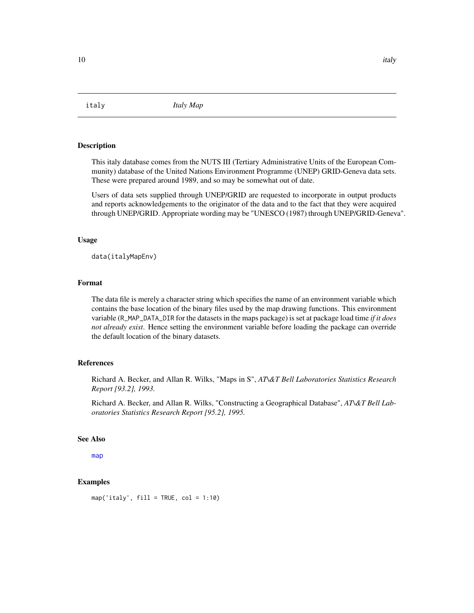<span id="page-9-0"></span>italy *Italy Map*

#### Description

This italy database comes from the NUTS III (Tertiary Administrative Units of the European Community) database of the United Nations Environment Programme (UNEP) GRID-Geneva data sets. These were prepared around 1989, and so may be somewhat out of date.

Users of data sets supplied through UNEP/GRID are requested to incorporate in output products and reports acknowledgements to the originator of the data and to the fact that they were acquired through UNEP/GRID. Appropriate wording may be "UNESCO (1987) through UNEP/GRID-Geneva".

#### Usage

data(italyMapEnv)

### Format

The data file is merely a character string which specifies the name of an environment variable which contains the base location of the binary files used by the map drawing functions. This environment variable (R\_MAP\_DATA\_DIR for the datasets in the maps package) is set at package load time *if it does not already exist*. Hence setting the environment variable before loading the package can override the default location of the binary datasets.

#### References

Richard A. Becker, and Allan R. Wilks, "Maps in S", *AT\&T Bell Laboratories Statistics Research Report [93.2], 1993.*

Richard A. Becker, and Allan R. Wilks, "Constructing a Geographical Database", *AT\&T Bell Laboratories Statistics Research Report [95.2], 1995.*

#### See Also

[map](#page-11-1)

### Examples

 $map('italy', fill = TRUE, col = 1:10)$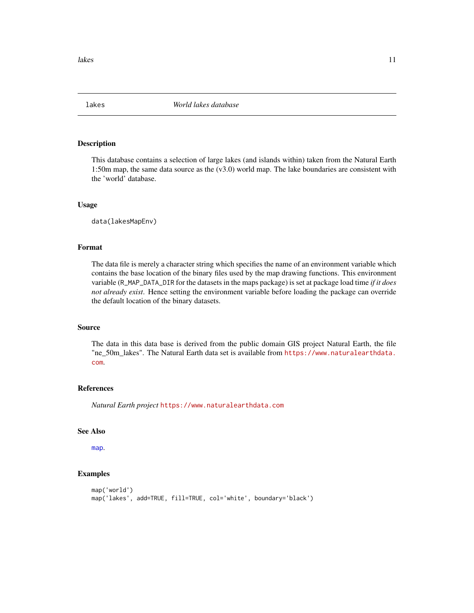<span id="page-10-1"></span><span id="page-10-0"></span>

This database contains a selection of large lakes (and islands within) taken from the Natural Earth 1:50m map, the same data source as the (v3.0) world map. The lake boundaries are consistent with the 'world' database.

#### Usage

data(lakesMapEnv)

### Format

The data file is merely a character string which specifies the name of an environment variable which contains the base location of the binary files used by the map drawing functions. This environment variable (R\_MAP\_DATA\_DIR for the datasets in the maps package) is set at package load time *if it does not already exist*. Hence setting the environment variable before loading the package can override the default location of the binary datasets.

### Source

The data in this data base is derived from the public domain GIS project Natural Earth, the file "ne\_50m\_lakes". The Natural Earth data set is available from [https://www.naturalearthdata.](https://www.naturalearthdata.com) [com](https://www.naturalearthdata.com).

### References

*Natural Earth project* <https://www.naturalearthdata.com>

### See Also

[map](#page-11-1).

```
map('world')
map('lakes', add=TRUE, fill=TRUE, col='white', boundary='black')
```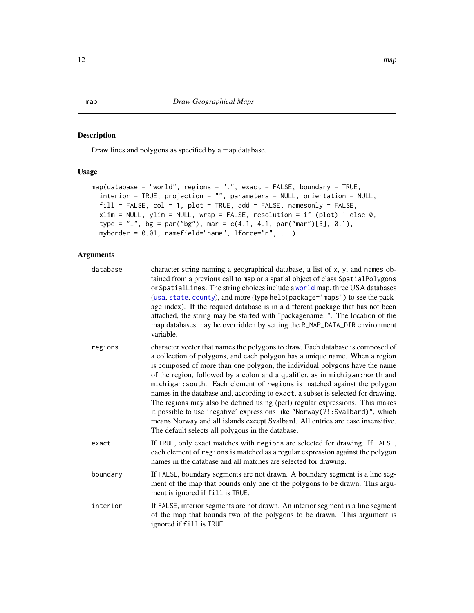<span id="page-11-1"></span><span id="page-11-0"></span>Draw lines and polygons as specified by a map database.

### Usage

```
map(database = "world", regions = ".", exact = FALSE, boundary = TRUE,
  interior = TRUE, projection = "", parameters = NULL, orientation = NULL,
 fill = FALSE, col = 1, plot = TRUE, add = FALSE, namesonly = FALSE,xlim = NULL, ylim = NULL, wrap = FALSE, resolution = if (plot) 1 else 0,
 type = "l", bg = par("bg"), mar = c(4.1, 4.1, par("mar")[3], 0.1),
 myborder = 0.01, namefield="name", lforce="n", ...)
```
### Arguments

| database | character string naming a geographical database, a list of x, y, and names ob-<br>tained from a previous call to map or a spatial object of class SpatialPolygons<br>or SpatialLines. The string choices include a world map, three USA databases<br>(usa, state, county), and more (type help(package='maps') to see the pack-<br>age index). If the requied database is in a different package that has not been<br>attached, the string may be started with "packagename::". The location of the<br>map databases may be overridden by setting the R_MAP_DATA_DIR environment<br>variable.                                                                                                                                                                                                        |
|----------|------------------------------------------------------------------------------------------------------------------------------------------------------------------------------------------------------------------------------------------------------------------------------------------------------------------------------------------------------------------------------------------------------------------------------------------------------------------------------------------------------------------------------------------------------------------------------------------------------------------------------------------------------------------------------------------------------------------------------------------------------------------------------------------------------|
| regions  | character vector that names the polygons to draw. Each database is composed of<br>a collection of polygons, and each polygon has a unique name. When a region<br>is composed of more than one polygon, the individual polygons have the name<br>of the region, followed by a colon and a qualifier, as in michigan: north and<br>michigan: south. Each element of regions is matched against the polygon<br>names in the database and, according to exact, a subset is selected for drawing.<br>The regions may also be defined using (perl) regular expressions. This makes<br>it possible to use 'negative' expressions like "Norway(?!: Svalbard)", which<br>means Norway and all islands except Svalbard. All entries are case insensitive.<br>The default selects all polygons in the database. |
| exact    | If TRUE, only exact matches with regions are selected for drawing. If FALSE,<br>each element of regions is matched as a regular expression against the polygon<br>names in the database and all matches are selected for drawing.                                                                                                                                                                                                                                                                                                                                                                                                                                                                                                                                                                    |
| boundary | If FALSE, boundary segments are not drawn. A boundary segment is a line seg-<br>ment of the map that bounds only one of the polygons to be drawn. This argu-<br>ment is ignored if fill is TRUE.                                                                                                                                                                                                                                                                                                                                                                                                                                                                                                                                                                                                     |
| interior | If FALSE, interior segments are not drawn. An interior segment is a line segment<br>of the map that bounds two of the polygons to be drawn. This argument is<br>ignored if fill is TRUE.                                                                                                                                                                                                                                                                                                                                                                                                                                                                                                                                                                                                             |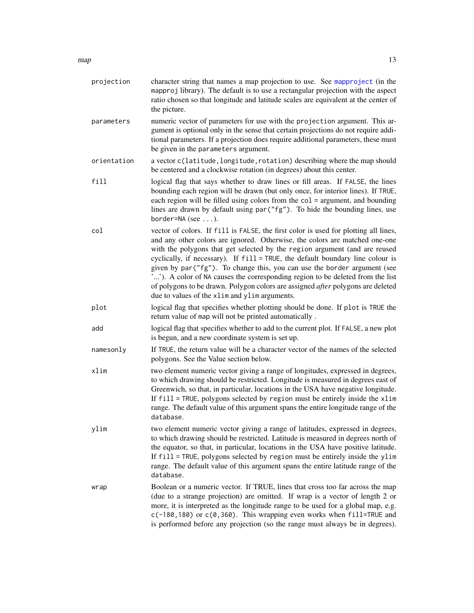- <span id="page-12-0"></span>projection character string that names a map projection to use. See [mapproject](#page-0-0) (in the mapproj library). The default is to use a rectangular projection with the aspect ratio chosen so that longitude and latitude scales are equivalent at the center of the picture.
- parameters numeric vector of parameters for use with the projection argument. This argument is optional only in the sense that certain projections do not require additional parameters. If a projection does require additional parameters, these must be given in the parameters argument.
- orientation a vector c(latitude, longitude, rotation) describing where the map should be centered and a clockwise rotation (in degrees) about this center.
- fill logical flag that says whether to draw lines or fill areas. If FALSE, the lines bounding each region will be drawn (but only once, for interior lines). If TRUE, each region will be filled using colors from the col = argument, and bounding lines are drawn by default using par("fg"). To hide the bounding lines, use border=NA (see ...).
- col vector of colors. If fill is FALSE, the first color is used for plotting all lines, and any other colors are ignored. Otherwise, the colors are matched one-one with the polygons that get selected by the region argument (and are reused cyclically, if necessary). If fill = TRUE, the default boundary line colour is given by par("fg"). To change this, you can use the border argument (see '...'). A color of NA causes the corresponding region to be deleted from the list of polygons to be drawn. Polygon colors are assigned *after* polygons are deleted due to values of the xlim and ylim arguments.
- plot logical flag that specifies whether plotting should be done. If plot is TRUE the return value of map will not be printed automatically .
- add logical flag that specifies whether to add to the current plot. If FALSE, a new plot is begun, and a new coordinate system is set up.
- namesonly If TRUE, the return value will be a character vector of the names of the selected polygons. See the Value section below.
- xlim two element numeric vector giving a range of longitudes, expressed in degrees, to which drawing should be restricted. Longitude is measured in degrees east of Greenwich, so that, in particular, locations in the USA have negative longitude. If fill = TRUE, polygons selected by region must be entirely inside the xlim range. The default value of this argument spans the entire longitude range of the database.
- ylim two element numeric vector giving a range of latitudes, expressed in degrees, to which drawing should be restricted. Latitude is measured in degrees north of the equator, so that, in particular, locations in the USA have positive latitude. If fill = TRUE, polygons selected by region must be entirely inside the ylim range. The default value of this argument spans the entire latitude range of the database.
- wrap Boolean or a numeric vector. If TRUE, lines that cross too far across the map (due to a strange projection) are omitted. If wrap is a vector of length 2 or more, it is interpreted as the longitude range to be used for a global map, e.g.  $c(-180, 180)$  or  $c(0, 360)$ . This wrapping even works when fill=TRUE and is performed before any projection (so the range must always be in degrees).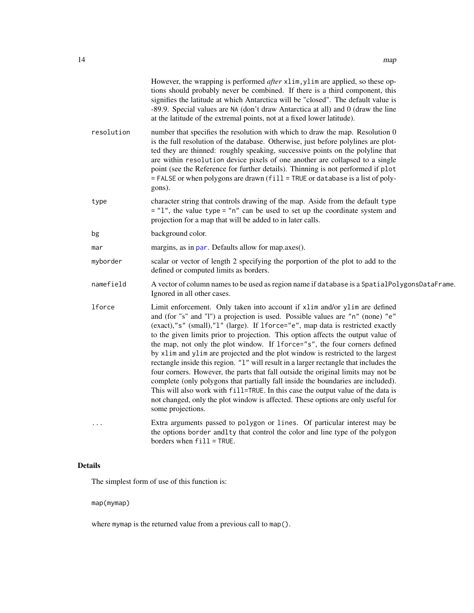<span id="page-13-0"></span>

|            | However, the wrapping is performed after xlim, ylim are applied, so these op-<br>tions should probably never be combined. If there is a third component, this<br>signifies the latitude at which Antarctica will be "closed". The default value is<br>-89.9. Special values are NA (don't draw Antarctica at all) and 0 (draw the line<br>at the latitude of the extremal points, not at a fixed lower latitude).                                                                                                                                                                                                                                                                                                                                                                                                                                                                                                                                                  |
|------------|--------------------------------------------------------------------------------------------------------------------------------------------------------------------------------------------------------------------------------------------------------------------------------------------------------------------------------------------------------------------------------------------------------------------------------------------------------------------------------------------------------------------------------------------------------------------------------------------------------------------------------------------------------------------------------------------------------------------------------------------------------------------------------------------------------------------------------------------------------------------------------------------------------------------------------------------------------------------|
| resolution | number that specifies the resolution with which to draw the map. Resolution 0<br>is the full resolution of the database. Otherwise, just before polylines are plot-<br>ted they are thinned: roughly speaking, successive points on the polyline that<br>are within resolution device pixels of one another are collapsed to a single<br>point (see the Reference for further details). Thinning is not performed if plot<br>= FALSE or when polygons are drawn (fill = TRUE or database is a list of poly-<br>gons).                                                                                                                                                                                                                                                                                                                                                                                                                                              |
| type       | character string that controls drawing of the map. Aside from the default type<br>$=$ "1", the value type = "n" can be used to set up the coordinate system and<br>projection for a map that will be added to in later calls.                                                                                                                                                                                                                                                                                                                                                                                                                                                                                                                                                                                                                                                                                                                                      |
| bg         | background color.                                                                                                                                                                                                                                                                                                                                                                                                                                                                                                                                                                                                                                                                                                                                                                                                                                                                                                                                                  |
| mar        | margins, as in par. Defaults allow for map.axes().                                                                                                                                                                                                                                                                                                                                                                                                                                                                                                                                                                                                                                                                                                                                                                                                                                                                                                                 |
| myborder   | scalar or vector of length 2 specifying the porportion of the plot to add to the<br>defined or computed limits as borders.                                                                                                                                                                                                                                                                                                                                                                                                                                                                                                                                                                                                                                                                                                                                                                                                                                         |
| namefield  | A vector of column names to be used as region name if database is a SpatialPolygonsDataFrame.<br>Ignored in all other cases.                                                                                                                                                                                                                                                                                                                                                                                                                                                                                                                                                                                                                                                                                                                                                                                                                                       |
| lforce     | Limit enforcement. Only taken into account if xlim and/or ylim are defined<br>and (for "s" and "l") a projection is used. Possible values are "n" (none) "e"<br>(exact),"s" (small),"1" (large). If 1force="e", map data is restricted exactly<br>to the given limits prior to projection. This option affects the output value of<br>the map, not only the plot window. If 1force="s", the four corners defined<br>by xlim and ylim are projected and the plot window is restricted to the largest<br>rectangle inside this region. "1" will result in a larger rectangle that includes the<br>four corners. However, the parts that fall outside the original limits may not be<br>complete (only polygons that partially fall inside the boundaries are included).<br>This will also work with fill=TRUE. In this case the output value of the data is<br>not changed, only the plot window is affected. These options are only useful for<br>some projections. |
| .          | Extra arguments passed to polygon or lines. Of particular interest may be<br>the options border andlty that control the color and line type of the polygon<br>borders when fill = TRUE.                                                                                                                                                                                                                                                                                                                                                                                                                                                                                                                                                                                                                                                                                                                                                                            |

### Details

The simplest form of use of this function is:

map(mymap)

where mymap is the returned value from a previous call to map().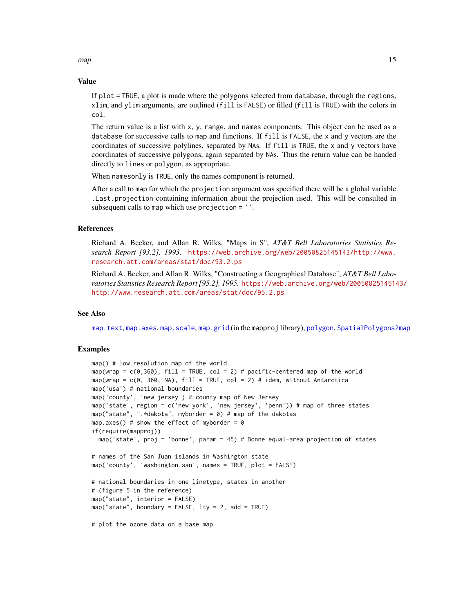<span id="page-14-0"></span> $map$  and  $15$ 

### Value

If plot = TRUE, a plot is made where the polygons selected from database, through the regions, xlim, and ylim arguments, are outlined (fill is FALSE) or filled (fill is TRUE) with the colors in col.

The return value is a list with x, y, range, and names components. This object can be used as a database for successive calls to map and functions. If fill is FALSE, the x and y vectors are the coordinates of successive polylines, separated by NAs. If fill is TRUE, the x and y vectors have coordinates of successive polygons, again separated by NAs. Thus the return value can be handed directly to lines or polygon, as appropriate.

When namesonly is TRUE, only the names component is returned.

After a call to map for which the projection argument was specified there will be a global variable .Last.projection containing information about the projection used. This will be consulted in subsequent calls to map which use projection = ''.

### References

Richard A. Becker, and Allan R. Wilks, "Maps in S", *AT&T Bell Laboratories Statistics Research Report [93.2], 1993.* [https://web.archive.org/web/20050825145143/http://www.](https://web.archive.org/web/20050825145143/http://www.research.att.com/areas/stat/doc/93.2.ps) [research.att.com/areas/stat/doc/93.2.ps](https://web.archive.org/web/20050825145143/http://www.research.att.com/areas/stat/doc/93.2.ps)

Richard A. Becker, and Allan R. Wilks, "Constructing a Geographical Database", *AT&T Bell Laboratories Statistics Research Report [95.2], 1995.* [https://web.archive.org/web/2005082514514](https://web.archive.org/web/20050825145143/http://www.research.att.com/areas/stat/doc/95.2.ps)3/ [http://www.research.att.com/areas/stat/doc/95.2.ps](https://web.archive.org/web/20050825145143/http://www.research.att.com/areas/stat/doc/95.2.ps)

### See Also

[map.text](#page-19-1), [map.axes](#page-15-1), [map.scale](#page-18-1), [map.grid](#page-0-0) (in the mapproj library), [polygon](#page-0-0), [SpatialPolygons2map](#page-25-1)

```
map() # low resolution map of the world
map(wrap = c(\emptyset, 36\emptyset), fill = TRUE, col = 2) # pacific-centered map of the world
map(wrap = c(\emptyset, 36\emptyset, NA), fill = TRUE, col = 2) # idem, without Antarctica
map('usa') # national boundaries
map('county', 'new jersey') # county map of New Jersey
map('state', region = c('new york', 'new jersey', 'penn')) # map of three states
map("state", ".*dakota", myborder = 0) # map of the dakotas
map.axes() # show the effect of myborder = 0if(require(mapproj))
  map('state', proj = 'bonne', param = 45) # Bonne equal-area projection of states
# names of the San Juan islands in Washington state
map('county', 'washington,san', names = TRUE, plot = FALSE)
# national boundaries in one linetype, states in another
# (figure 5 in the reference)
map("state", interior = FALSE)
map("state", boundary = FALSE, lty = 2, add = TRUE)
# plot the ozone data on a base map
```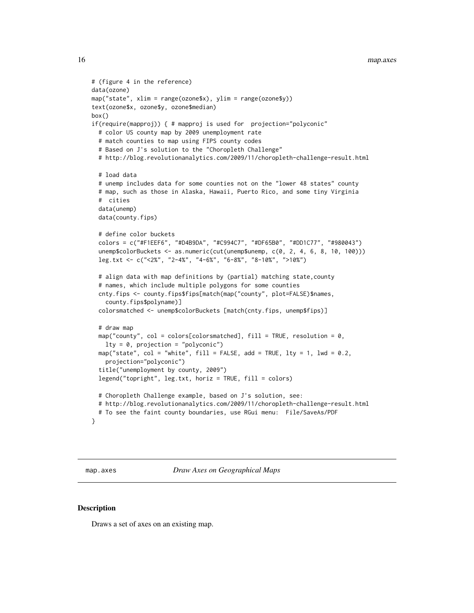```
# (figure 4 in the reference)
data(ozone)
map("state", xlim = range(ozone$x), ylim = range(ozone$y))
text(ozone$x, ozone$y, ozone$median)
box()
if(require(mapproj)) { # mapproj is used for projection="polyconic"
 # color US county map by 2009 unemployment rate
 # match counties to map using FIPS county codes
 # Based on J's solution to the "Choropleth Challenge"
 # http://blog.revolutionanalytics.com/2009/11/choropleth-challenge-result.html
 # load data
 # unemp includes data for some counties not on the "lower 48 states" county
 # map, such as those in Alaska, Hawaii, Puerto Rico, and some tiny Virginia
  # cities
 data(unemp)
 data(county.fips)
 # define color buckets
 colors = c("#F1EEF6", "#D4B9DA", "#C994C7", "#DF65B0", "#DD1C77", "#980043")
 unemp$colorBuckets <- as.numeric(cut(unemp$unemp, c(0, 2, 4, 6, 8, 10, 100)))
 leg.txt <- c("<2%", "2-4%", "4-6%", "6-8%", "8-10%", ">10%")
 # align data with map definitions by (partial) matching state,county
 # names, which include multiple polygons for some counties
 cnty.fips <- county.fips$fips[match(map("county", plot=FALSE)$names,
    county.fips$polyname)]
 colorsmatched <- unemp$colorBuckets [match(cnty.fips, unemp$fips)]
 # draw map
 map("county", col = colors[colorsmatched], fill = TRUE, resolution = 0,
   lty = 0, projection = "polyconic")
 map("state", col = "white", fill = FALSE, add = TRUE, lty = 1, lwd = 0.2,
   projection="polyconic")
  title("unemployment by county, 2009")
 legend("topright", leg.txt, horiz = TRUE, fill = colors)
 # Choropleth Challenge example, based on J's solution, see:
 # http://blog.revolutionanalytics.com/2009/11/choropleth-challenge-result.html
 # To see the faint county boundaries, use RGui menu: File/SaveAs/PDF
}
```
<span id="page-15-1"></span>map.axes *Draw Axes on Geographical Maps*

#### **Description**

Draws a set of axes on an existing map.

<span id="page-15-0"></span>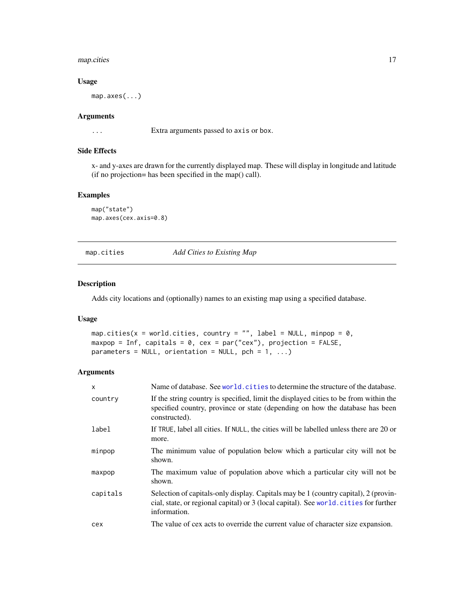### <span id="page-16-0"></span>map.cities 17

### Usage

map.axes(...)

#### Arguments

... Extra arguments passed to axis or box.

### Side Effects

x- and y-axes are drawn for the currently displayed map. These will display in longitude and latitude (if no projection= has been specified in the map() call).

### Examples

```
map("state")
map.axes(cex.axis=0.8)
```
<span id="page-16-1"></span>map.cities *Add Cities to Existing Map*

### Description

Adds city locations and (optionally) names to an existing map using a specified database.

### Usage

```
map.cities(x = world.cities, country = "", label = NULL, minpop = \theta,
maxpop = Inf, capitals = 0, cex = par("cex"), projection = FALSE,
parameters = NULL, orientation = NULL, pch = 1, ...)
```
### Arguments

| $\mathsf{x}$ | Name of database. See world, cities to determine the structure of the database.                                                                                                             |
|--------------|---------------------------------------------------------------------------------------------------------------------------------------------------------------------------------------------|
| country      | If the string country is specified, limit the displayed cities to be from within the<br>specified country, province or state (depending on how the database has been<br>constructed).       |
| label        | If TRUE, label all cities. If NULL, the cities will be labelled unless there are 20 or<br>more.                                                                                             |
| minpop       | The minimum value of population below which a particular city will not be<br>shown.                                                                                                         |
| maxpop       | The maximum value of population above which a particular city will not be<br>shown.                                                                                                         |
| capitals     | Selection of capitals-only display. Capitals may be 1 (country capital), 2 (provin-<br>cial, state, or regional capital) or 3 (local capital). See world cities for further<br>information. |
| cex          | The value of cex acts to override the current value of character size expansion.                                                                                                            |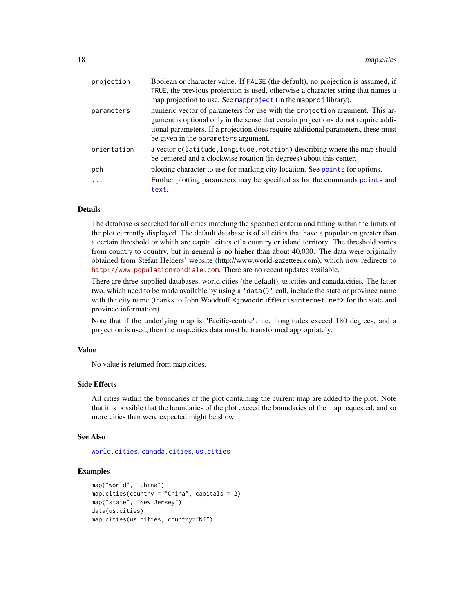<span id="page-17-0"></span>

| projection  | Boolean or character value. If FALSE (the default), no projection is assumed, if   |
|-------------|------------------------------------------------------------------------------------|
|             | TRUE, the previous projection is used, otherwise a character string that names a   |
|             | map projection to use. See mapproject (in the mapproj library).                    |
| parameters  | numeric vector of parameters for use with the projection argument. This ar-        |
|             | gument is optional only in the sense that certain projections do not require addi- |
|             | tional parameters. If a projection does require additional parameters, these must  |
|             | be given in the parameters argument.                                               |
| orientation | a vector c(latitude, longitude, rotation) describing where the map should          |
|             | be centered and a clockwise rotation (in degrees) about this center.               |
| pch         | plotting character to use for marking city location. See points for options.       |
| $\cdots$    | Further plotting parameters may be specified as for the commands points and        |
|             | text.                                                                              |

### Details

The database is searched for all cities matching the specified criteria and fitting within the limits of the plot currently displayed. The default database is of all cities that have a population greater than a certain threshold or which are capital cities of a country or island territory. The threshold varies from country to country, but in general is no higher than about 40,000. The data were originally obtained from Stefan Helders' website (http://www.world-gazetteer.com), which now redirects to <http://www.populationmondiale.com>. There are no recent updates available.

There are three supplied databases, world.cities (the default), us.cities and canada.cities. The latter two, which need to be made available by using a 'data()' call, include the state or province name with the city name (thanks to John Woodruff <jpwoodruff@irisinternet.net> for the state and province information).

Note that if the underlying map is "Pacific-centric", i.e. longitudes exceed 180 degrees, and a projection is used, then the map.cities data must be transformed appropriately.

### Value

No value is returned from map.cities.

#### Side Effects

All cities within the boundaries of the plot containing the current map are added to the plot. Note that it is possible that the boundaries of the plot exceed the boundaries of the map requested, and so more cities than were expected might be shown.

#### See Also

[world.cities](#page-32-1), [canada.cities](#page-2-1), [us.cities](#page-29-1)

```
map("world", "China")
map.cities(country = "China", capitals = 2)
map("state", "New Jersey")
data(us.cities)
map.cities(us.cities, country="NJ")
```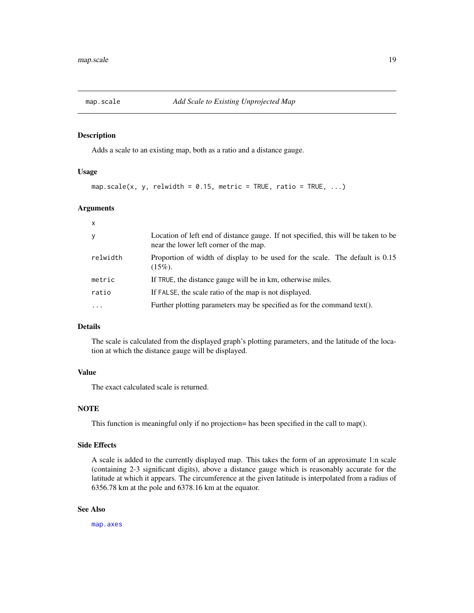<span id="page-18-1"></span><span id="page-18-0"></span>

Adds a scale to an existing map, both as a ratio and a distance gauge.

#### Usage

```
map.scale(x, y, relwidth = 0.15, metric = TRUE, ratio = TRUE, ...)
```
### Arguments

| x         |                                                                                                                              |
|-----------|------------------------------------------------------------------------------------------------------------------------------|
| у         | Location of left end of distance gauge. If not specified, this will be taken to be<br>near the lower left corner of the map. |
| relwidth  | Proportion of width of display to be used for the scale. The default is 0.15<br>$(15\%)$ .                                   |
| metric    | If TRUE, the distance gauge will be in km, otherwise miles.                                                                  |
| ratio     | If FALSE, the scale ratio of the map is not displayed.                                                                       |
| $\ddotsc$ | Further plotting parameters may be specified as for the command text().                                                      |

### Details

The scale is calculated from the displayed graph's plotting parameters, and the latitude of the location at which the distance gauge will be displayed.

### Value

The exact calculated scale is returned.

### **NOTE**

This function is meaningful only if no projection= has been specified in the call to map().

### Side Effects

A scale is added to the currently displayed map. This takes the form of an approximate 1:n scale (containing 2-3 significant digits), above a distance gauge which is reasonably accurate for the latitude at which it appears. The circumference at the given latitude is interpolated from a radius of 6356.78 km at the pole and 6378.16 km at the equator.

### See Also

[map.axes](#page-15-1)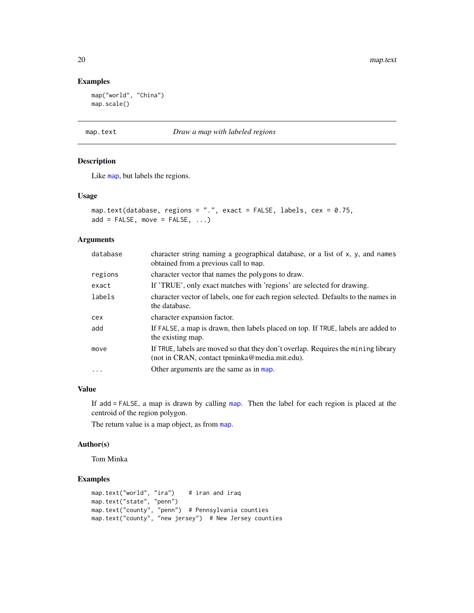<span id="page-19-0"></span>20 map.text

### Examples

```
map("world", "China")
map.scale()
```
<span id="page-19-1"></span>map.text *Draw a map with labeled regions*

### Description

Like [map](#page-11-1), but labels the regions.

### Usage

```
map.text(database, regions = ".", exact = FALSE, labels, cex = 0.75,
add = FALSE, move = FALSE, ...)
```
### Arguments

| database  | character string naming a geographical database, or a list of x, y, and names<br>obtained from a previous call to map.             |
|-----------|------------------------------------------------------------------------------------------------------------------------------------|
| regions   | character vector that names the polygons to draw.                                                                                  |
| exact     | If 'TRUE', only exact matches with 'regions' are selected for drawing.                                                             |
| labels    | character vector of labels, one for each region selected. Defaults to the names in<br>the database.                                |
| cex       | character expansion factor.                                                                                                        |
| add       | If FALSE, a map is drawn, then labels placed on top. If TRUE, labels are added to<br>the existing map.                             |
| move      | If TRUE, labels are moved so that they don't overlap. Requires the mining library<br>(not in CRAN, contact tpminka@media.mit.edu). |
| $\ddotsc$ | Other arguments are the same as in map.                                                                                            |

### Value

If add = FALSE, a map is drawn by calling [map](#page-11-1). Then the label for each region is placed at the centroid of the region polygon.

The return value is a map object, as from [map](#page-11-1).

### Author(s)

Tom Minka

```
map.text("world", "ira") # iran and iraq
map.text("state", "penn")
map.text("county", "penn") # Pennsylvania counties
map.text("county", "new jersey") # New Jersey counties
```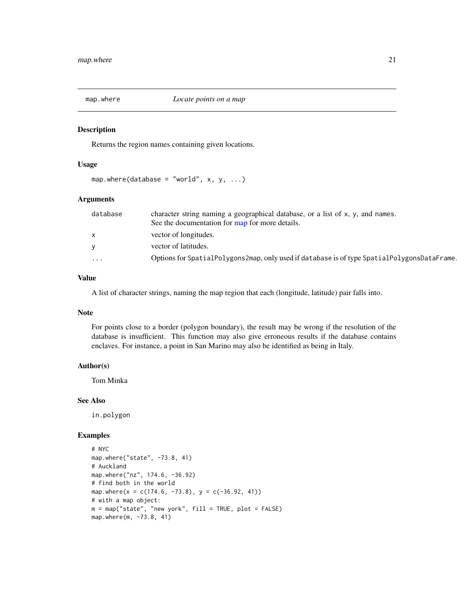<span id="page-20-1"></span><span id="page-20-0"></span>

Returns the region names containing given locations.

#### Usage

map.where(database = "world",  $x, y, ...$ )

### Arguments

| database     | character string naming a geographical database, or a list of x, y, and names.<br>See the documentation for map for more details. |
|--------------|-----------------------------------------------------------------------------------------------------------------------------------|
| $\mathsf{X}$ | vector of longitudes.                                                                                                             |
| <b>V</b>     | vector of latitudes.                                                                                                              |
| $\cdots$     | Options for SpatialPolygons2map, only used if database is of type SpatialPolygonsDataFrame.                                       |

#### Value

A list of character strings, naming the map region that each (longitude, latitude) pair falls into.

#### Note

For points close to a border (polygon boundary), the result may be wrong if the resolution of the database is insufficient. This function may also give erroneous results if the database contains enclaves. For instance, a point in San Marino may also be identified as being in Italy.

### Author(s)

Tom Minka

### See Also

in.polygon

```
# NYC
map.where("state", -73.8, 41)
# Auckland
map.where("nz", 174.6, -36.92)
# find both in the world
map.where(x = c(174.6, -73.8), y = c(-36.92, 41))
# with a map object:
m = map("state", "new work", fill = TRUE, plot = FALSE)map.where(m, -73.8, 41)
```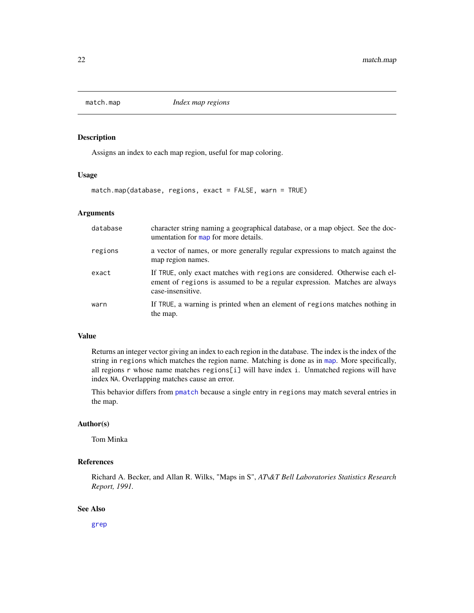<span id="page-21-1"></span><span id="page-21-0"></span>

Assigns an index to each map region, useful for map coloring.

#### Usage

match.map(database, regions, exact = FALSE, warn = TRUE)

### Arguments

| database | character string naming a geographical database, or a map object. See the doc-<br>umentation for map for more details.                                                         |
|----------|--------------------------------------------------------------------------------------------------------------------------------------------------------------------------------|
| regions  | a vector of names, or more generally regular expressions to match against the<br>map region names.                                                                             |
| exact    | If TRUE, only exact matches with regions are considered. Otherwise each el-<br>ement of regions is assumed to be a regular expression. Matches are always<br>case-insensitive. |
| warn     | If TRUE, a warning is printed when an element of regions matches nothing in<br>the map.                                                                                        |

### Value

Returns an integer vector giving an index to each region in the database. The index is the index of the string in regions which matches the region name. Matching is done as in [map](#page-11-1). More specifically, all regions r whose name matches regions[i] will have index i. Unmatched regions will have index NA. Overlapping matches cause an error.

This behavior differs from [pmatch](#page-0-0) because a single entry in regions may match several entries in the map.

### Author(s)

Tom Minka

### References

Richard A. Becker, and Allan R. Wilks, "Maps in S", *AT\&T Bell Laboratories Statistics Research Report, 1991.*

### See Also

[grep](#page-0-0)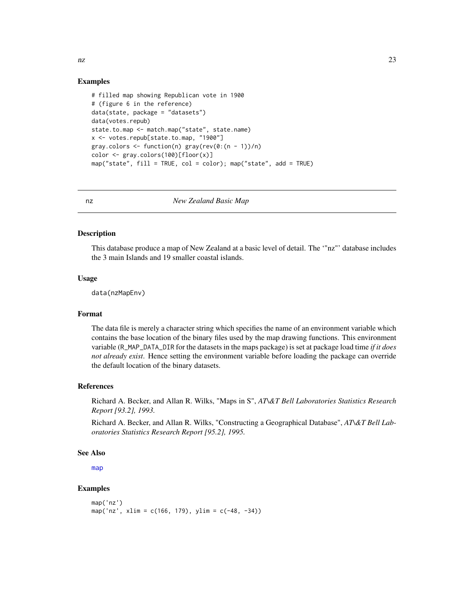<span id="page-22-0"></span>

### Examples

```
# filled map showing Republican vote in 1900
# (figure 6 in the reference)
data(state, package = "datasets")
data(votes.repub)
state.to.map <- match.map("state", state.name)
x <- votes.repub[state.to.map, "1900"]
gray.colors \leq function(n) gray(rev(0:(n - 1))/n)
color <- gray.colors(100)[floor(x)]
map("state", fill = TRUE, col = color); map("state", add = TRUE)
```
nz *New Zealand Basic Map*

### **Description**

This database produce a map of New Zealand at a basic level of detail. The '"nz"' database includes the 3 main Islands and 19 smaller coastal islands.

#### Usage

data(nzMapEnv)

#### Format

The data file is merely a character string which specifies the name of an environment variable which contains the base location of the binary files used by the map drawing functions. This environment variable (R\_MAP\_DATA\_DIR for the datasets in the maps package) is set at package load time *if it does not already exist*. Hence setting the environment variable before loading the package can override the default location of the binary datasets.

#### References

Richard A. Becker, and Allan R. Wilks, "Maps in S", *AT\&T Bell Laboratories Statistics Research Report [93.2], 1993.*

Richard A. Becker, and Allan R. Wilks, "Constructing a Geographical Database", *AT\&T Bell Laboratories Statistics Research Report [95.2], 1995.*

#### See Also

[map](#page-11-1)

```
map('nz')
map('nz', xlim = c(166, 179), ylim = c(-48, -34))
```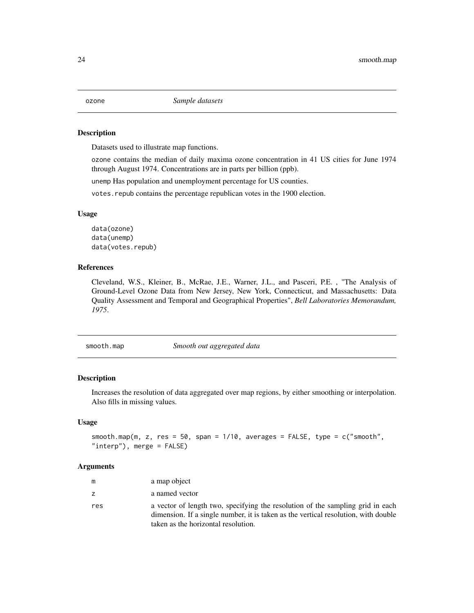Datasets used to illustrate map functions.

ozone contains the median of daily maxima ozone concentration in 41 US cities for June 1974 through August 1974. Concentrations are in parts per billion (ppb).

unemp Has population and unemployment percentage for US counties.

votes.repub contains the percentage republican votes in the 1900 election.

#### Usage

data(ozone) data(unemp) data(votes.repub)

### References

Cleveland, W.S., Kleiner, B., McRae, J.E., Warner, J.L., and Pasceri, P.E. , "The Analysis of Ground-Level Ozone Data from New Jersey, New York, Connecticut, and Massachusetts: Data Quality Assessment and Temporal and Geographical Properties", *Bell Laboratories Memorandum, 1975*.

smooth.map *Smooth out aggregated data*

### Description

Increases the resolution of data aggregated over map regions, by either smoothing or interpolation. Also fills in missing values.

#### Usage

```
smooth.map(m, z, res = 50, span = 1/10, averages = FALSE, type = c("smooth","interp"), merge = FALSE)
```
#### Arguments

| m   | a map object                                                                                                                                                                                                |
|-----|-------------------------------------------------------------------------------------------------------------------------------------------------------------------------------------------------------------|
| Z   | a named vector                                                                                                                                                                                              |
| res | a vector of length two, specifying the resolution of the sampling grid in each<br>dimension. If a single number, it is taken as the vertical resolution, with double<br>taken as the horizontal resolution. |

<span id="page-23-0"></span>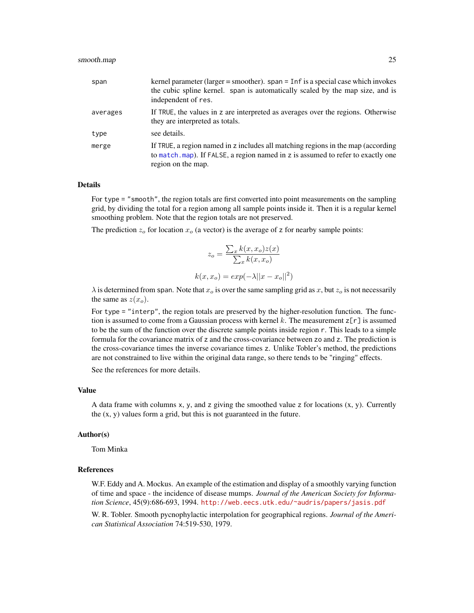#### <span id="page-24-0"></span>smooth.map 25

| span     | kernel parameter (larger = smoother). $span = Inf$ is a special case which invokes<br>the cubic spline kernel. span is automatically scaled by the map size, and is<br>independent of res. |
|----------|--------------------------------------------------------------------------------------------------------------------------------------------------------------------------------------------|
| averages | If TRUE, the values in z are interpreted as averages over the regions. Otherwise<br>they are interpreted as totals.                                                                        |
| type     | see details.                                                                                                                                                                               |
| merge    | If TRUE, a region named in z includes all matching regions in the map (according<br>to match, map). If FALSE, a region named in z is assumed to refer to exactly one<br>region on the map. |

### Details

For type = "smooth", the region totals are first converted into point measurements on the sampling grid, by dividing the total for a region among all sample points inside it. Then it is a regular kernel smoothing problem. Note that the region totals are not preserved.

The prediction  $z_o$  for location  $x_o$  (a vector) is the average of z for nearby sample points:

$$
z_o = \frac{\sum_x k(x, x_o) z(x)}{\sum_x k(x, x_o)}
$$

$$
k(x, x_o) = exp(-\lambda ||x - x_o||^2)
$$

 $\lambda$  is determined from span. Note that  $x_o$  is over the same sampling grid as x, but  $z_o$  is not necessarily the same as  $z(x_o)$ .

For type = "interp", the region totals are preserved by the higher-resolution function. The function is assumed to come from a Gaussian process with kernel k. The measurement  $z[\Gamma]$  is assumed to be the sum of the function over the discrete sample points inside region r. This leads to a simple formula for the covariance matrix of z and the cross-covariance between zo and z. The prediction is the cross-covariance times the inverse covariance times z. Unlike Tobler's method, the predictions are not constrained to live within the original data range, so there tends to be "ringing" effects.

See the references for more details.

#### Value

A data frame with columns x, y, and z giving the smoothed value z for locations  $(x, y)$ . Currently the  $(x, y)$  values form a grid, but this is not guaranteed in the future.

#### Author(s)

Tom Minka

#### References

W.F. Eddy and A. Mockus. An example of the estimation and display of a smoothly varying function of time and space - the incidence of disease mumps. *Journal of the American Society for Information Science*, 45(9):686-693, 1994. <http://web.eecs.utk.edu/~audris/papers/jasis.pdf>

W. R. Tobler. Smooth pycnophylactic interpolation for geographical regions. *Journal of the American Statistical Association* 74:519-530, 1979.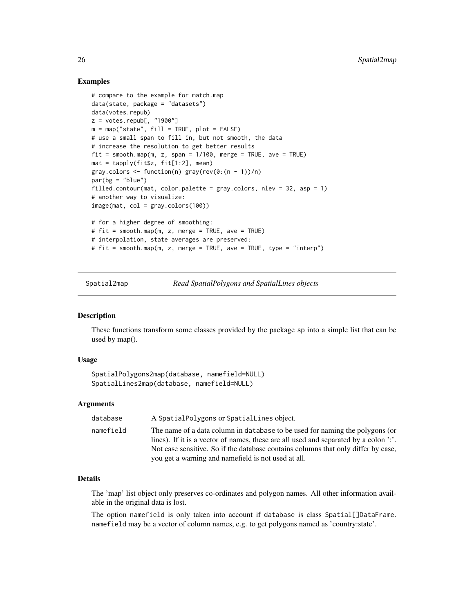### Examples

```
# compare to the example for match.map
data(state, package = "datasets")
data(votes.repub)
z = \text{votes}.\text{repub}[, "1900"]
m = map('state'', fill = TRUE, plot = FALSE)# use a small span to fill in, but not smooth, the data
# increase the resolution to get better results
fit = smooth.map(m, z, span = 1/100, merge = TRUE, ave = TRUE)
mat = tapply(fitsz, fit[1:2], mean)gray.colors \leq function(n) gray(rev(0:(n - 1))/n)
par(bg = "blue")filled.contour(mat, color.palette = gray.colors, nlev = 32, asp = 1)
# another way to visualize:
image(mat, col = gray.colors(100))
# for a higher degree of smoothing:
# fit = smooth.map(m, z, merge = TRUE, ave = TRUE)
# interpolation, state averages are preserved:
# fit = smooth.map(m, z, merge = TRUE, ave = TRUE, type = "interp")
```
Spatial2map *Read SpatialPolygons and SpatialLines objects*

### <span id="page-25-1"></span>**Description**

These functions transform some classes provided by the package sp into a simple list that can be used by map().

### Usage

```
SpatialPolygons2map(database, namefield=NULL)
SpatialLines2map(database, namefield=NULL)
```
#### Arguments

| database  | A Spatial Polygons or Spatial Lines object.                                                                                                                                                                                                                                                                      |
|-----------|------------------------------------------------------------------------------------------------------------------------------------------------------------------------------------------------------------------------------------------------------------------------------------------------------------------|
| namefield | The name of a data column in database to be used for naming the polygons (or<br>lines). If it is a vector of names, these are all used and separated by a colon ':'.<br>Not case sensitive. So if the database contains columns that only differ by case,<br>you get a warning and namefield is not used at all. |

### Details

The 'map' list object only preserves co-ordinates and polygon names. All other information available in the original data is lost.

The option namefield is only taken into account if database is class Spatial[]DataFrame. namefield may be a vector of column names, e.g. to get polygons named as 'country:state'.

<span id="page-25-0"></span>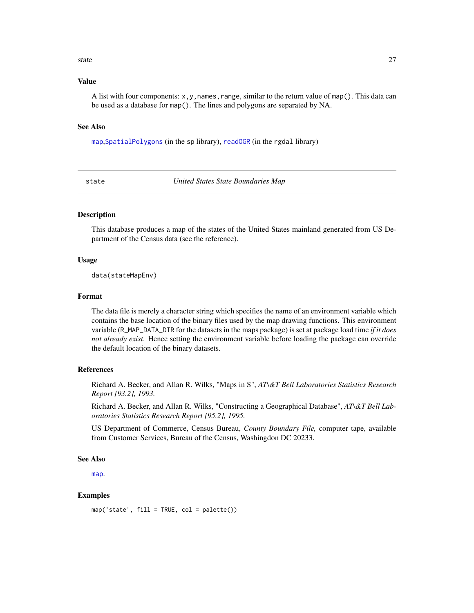#### <span id="page-26-0"></span>state 27

#### Value

A list with four components:  $x, y$ , names, range, similar to the return value of map(). This data can be used as a database for map(). The lines and polygons are separated by NA.

### See Also

[map](#page-11-1),[SpatialPolygons](#page-0-0) (in the sp library), [readOGR](#page-0-0) (in the rgdal library)

<span id="page-26-1"></span>state *United States State Boundaries Map*

### Description

This database produces a map of the states of the United States mainland generated from US Department of the Census data (see the reference).

#### Usage

data(stateMapEnv)

#### Format

The data file is merely a character string which specifies the name of an environment variable which contains the base location of the binary files used by the map drawing functions. This environment variable (R\_MAP\_DATA\_DIR for the datasets in the maps package) is set at package load time *if it does not already exist*. Hence setting the environment variable before loading the package can override the default location of the binary datasets.

### References

Richard A. Becker, and Allan R. Wilks, "Maps in S", *AT\&T Bell Laboratories Statistics Research Report [93.2], 1993.*

Richard A. Becker, and Allan R. Wilks, "Constructing a Geographical Database", *AT\&T Bell Laboratories Statistics Research Report [95.2], 1995.*

US Department of Commerce, Census Bureau, *County Boundary File,* computer tape, available from Customer Services, Bureau of the Census, Washingdon DC 20233.

#### See Also

[map](#page-11-1).

```
map('state', fill = TRUE, col = palette())
```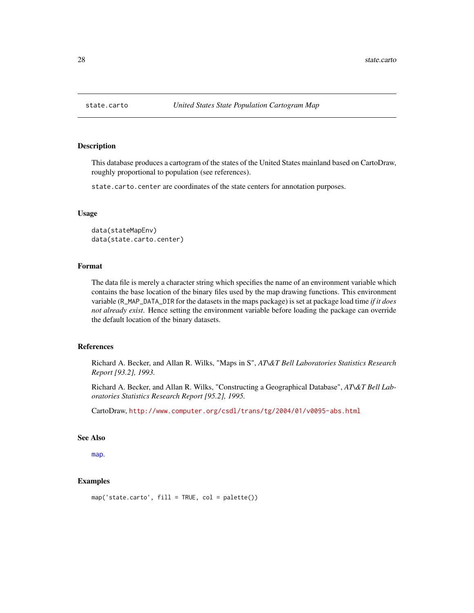This database produces a cartogram of the states of the United States mainland based on CartoDraw, roughly proportional to population (see references).

state.carto.center are coordinates of the state centers for annotation purposes.

### Usage

```
data(stateMapEnv)
data(state.carto.center)
```
### Format

The data file is merely a character string which specifies the name of an environment variable which contains the base location of the binary files used by the map drawing functions. This environment variable (R\_MAP\_DATA\_DIR for the datasets in the maps package) is set at package load time *if it does not already exist*. Hence setting the environment variable before loading the package can override the default location of the binary datasets.

### References

Richard A. Becker, and Allan R. Wilks, "Maps in S", *AT\&T Bell Laboratories Statistics Research Report [93.2], 1993.*

Richard A. Becker, and Allan R. Wilks, "Constructing a Geographical Database", *AT\&T Bell Laboratories Statistics Research Report [95.2], 1995.*

CartoDraw, <http://www.computer.org/csdl/trans/tg/2004/01/v0095-abs.html>

#### See Also

[map](#page-11-1).

```
map('state.carto', fill = TRUE, col = palette())
```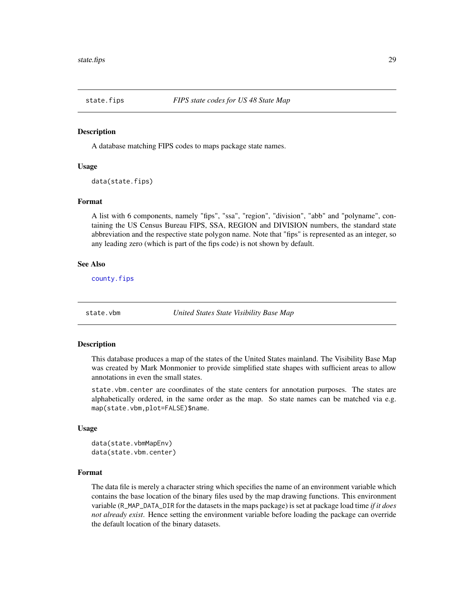<span id="page-28-1"></span><span id="page-28-0"></span>

A database matching FIPS codes to maps package state names.

### Usage

data(state.fips)

### Format

A list with 6 components, namely "fips", "ssa", "region", "division", "abb" and "polyname", containing the US Census Bureau FIPS, SSA, REGION and DIVISION numbers, the standard state abbreviation and the respective state polygon name. Note that "fips" is represented as an integer, so any leading zero (which is part of the fips code) is not shown by default.

#### See Also

[county.fips](#page-4-1)

state.vbm *United States State Visibility Base Map*

### Description

This database produces a map of the states of the United States mainland. The Visibility Base Map was created by Mark Monmonier to provide simplified state shapes with sufficient areas to allow annotations in even the small states.

state.vbm.center are coordinates of the state centers for annotation purposes. The states are alphabetically ordered, in the same order as the map. So state names can be matched via e.g. map(state.vbm,plot=FALSE)\$name.

#### Usage

```
data(state.vbmMapEnv)
data(state.vbm.center)
```
### Format

The data file is merely a character string which specifies the name of an environment variable which contains the base location of the binary files used by the map drawing functions. This environment variable (R\_MAP\_DATA\_DIR for the datasets in the maps package) is set at package load time *if it does not already exist*. Hence setting the environment variable before loading the package can override the default location of the binary datasets.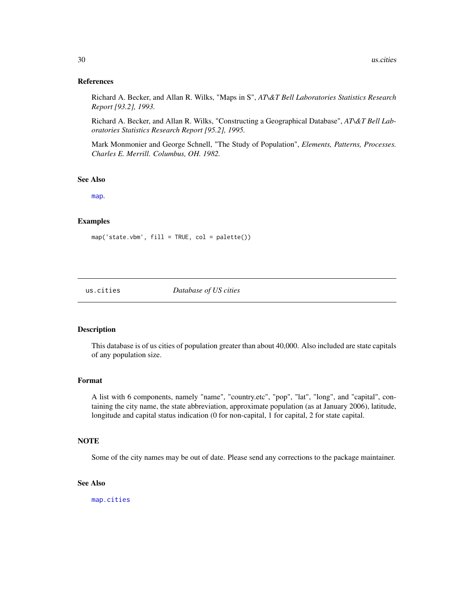#### <span id="page-29-0"></span>References

Richard A. Becker, and Allan R. Wilks, "Maps in S", *AT\&T Bell Laboratories Statistics Research Report [93.2], 1993.*

Richard A. Becker, and Allan R. Wilks, "Constructing a Geographical Database", *AT\&T Bell Laboratories Statistics Research Report [95.2], 1995.*

Mark Monmonier and George Schnell, "The Study of Population", *Elements, Patterns, Processes. Charles E. Merrill. Columbus, OH. 1982.*

#### See Also

[map](#page-11-1).

### Examples

 $map('state.vbm', fill = TRUE, col = palette())$ 

<span id="page-29-1"></span>

us.cities *Database of US cities*

### Description

This database is of us cities of population greater than about 40,000. Also included are state capitals of any population size.

### Format

A list with 6 components, namely "name", "country.etc", "pop", "lat", "long", and "capital", containing the city name, the state abbreviation, approximate population (as at January 2006), latitude, longitude and capital status indication (0 for non-capital, 1 for capital, 2 for state capital.

### **NOTE**

Some of the city names may be out of date. Please send any corrections to the package maintainer.

### See Also

[map.cities](#page-16-1)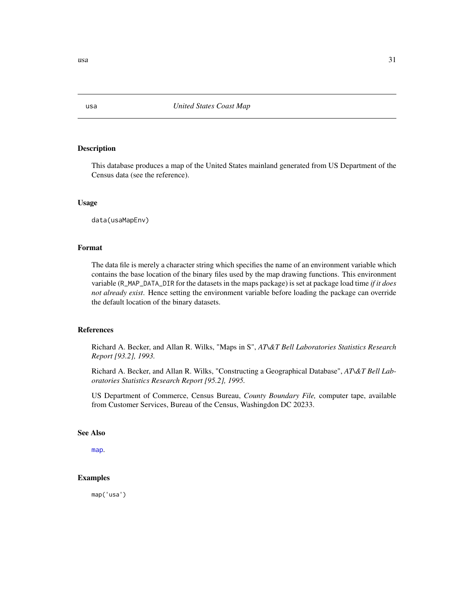This database produces a map of the United States mainland generated from US Department of the Census data (see the reference).

#### Usage

data(usaMapEnv)

### Format

The data file is merely a character string which specifies the name of an environment variable which contains the base location of the binary files used by the map drawing functions. This environment variable (R\_MAP\_DATA\_DIR for the datasets in the maps package) is set at package load time *if it does not already exist*. Hence setting the environment variable before loading the package can override the default location of the binary datasets.

### References

Richard A. Becker, and Allan R. Wilks, "Maps in S", *AT\&T Bell Laboratories Statistics Research Report [93.2], 1993.*

Richard A. Becker, and Allan R. Wilks, "Constructing a Geographical Database", *AT\&T Bell Laboratories Statistics Research Report [95.2], 1995.*

US Department of Commerce, Census Bureau, *County Boundary File,* computer tape, available from Customer Services, Bureau of the Census, Washingdon DC 20233.

### See Also

[map](#page-11-1).

### Examples

map('usa')

<span id="page-30-1"></span><span id="page-30-0"></span>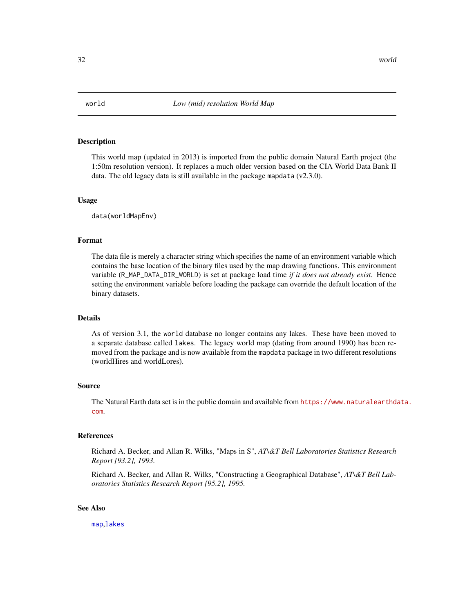<span id="page-31-1"></span><span id="page-31-0"></span>

This world map (updated in 2013) is imported from the public domain Natural Earth project (the 1:50m resolution version). It replaces a much older version based on the CIA World Data Bank II data. The old legacy data is still available in the package mapdata (v2.3.0).

#### Usage

data(worldMapEnv)

#### Format

The data file is merely a character string which specifies the name of an environment variable which contains the base location of the binary files used by the map drawing functions. This environment variable (R\_MAP\_DATA\_DIR\_WORLD) is set at package load time *if it does not already exist*. Hence setting the environment variable before loading the package can override the default location of the binary datasets.

#### Details

As of version 3.1, the world database no longer contains any lakes. These have been moved to a separate database called lakes. The legacy world map (dating from around 1990) has been removed from the package and is now available from the mapdata package in two different resolutions (worldHires and worldLores).

#### Source

The Natural Earth data set is in the public domain and available from [https://www.naturalearthda](https://www.naturalearthdata.com)ta. [com](https://www.naturalearthdata.com).

#### References

Richard A. Becker, and Allan R. Wilks, "Maps in S", *AT\&T Bell Laboratories Statistics Research Report [93.2], 1993.*

Richard A. Becker, and Allan R. Wilks, "Constructing a Geographical Database", *AT\&T Bell Laboratories Statistics Research Report [95.2], 1995.*

### See Also

[map](#page-11-1),[lakes](#page-10-1)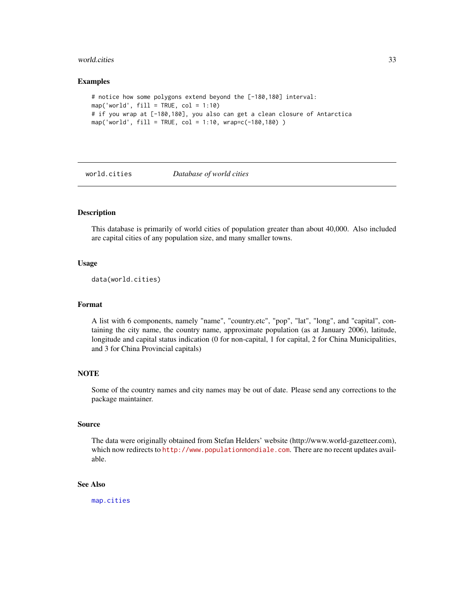#### <span id="page-32-0"></span>world.cities 33

#### Examples

```
# notice how some polygons extend beyond the [-180,180] interval:
map('world', fill = TRUE, col = 1:10)
# if you wrap at [-180,180], you also can get a clean closure of Antarctica
map('world', fill = TRUE, col = 1:10, wrap=c(-180,180) )
```
<span id="page-32-1"></span>

#### world.cities *Database of world cities*

### Description

This database is primarily of world cities of population greater than about 40,000. Also included are capital cities of any population size, and many smaller towns.

#### Usage

```
data(world.cities)
```
#### Format

A list with 6 components, namely "name", "country.etc", "pop", "lat", "long", and "capital", containing the city name, the country name, approximate population (as at January 2006), latitude, longitude and capital status indication (0 for non-capital, 1 for capital, 2 for China Municipalities, and 3 for China Provincial capitals)

### **NOTE**

Some of the country names and city names may be out of date. Please send any corrections to the package maintainer.

#### Source

The data were originally obtained from Stefan Helders' website (http://www.world-gazetteer.com), which now redirects to <http://www.populationmondiale.com>. There are no recent updates available.

### See Also

[map.cities](#page-16-1)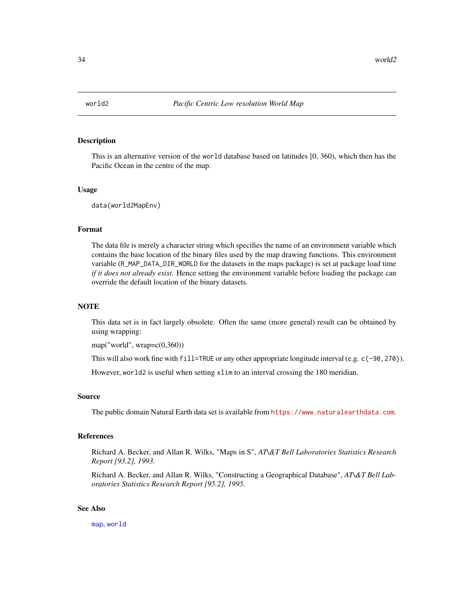<span id="page-33-0"></span>

This is an alternative version of the world database based on latitudes [0, 360), which then has the Pacific Ocean in the centre of the map.

#### Usage

data(world2MapEnv)

### Format

The data file is merely a character string which specifies the name of an environment variable which contains the base location of the binary files used by the map drawing functions. This environment variable (R\_MAP\_DATA\_DIR\_WORLD for the datasets in the maps package) is set at package load time *if it does not already exist*. Hence setting the environment variable before loading the package can override the default location of the binary datasets.

### **NOTE**

This data set is in fact largely obsolete. Often the same (more general) result can be obtained by using wrapping:

map("world", wrap= $c(0,360)$ )

This will also work fine with fill=TRUE or any other appropriate longitude interval (e.g.  $c(-90, 270)$ ).

However, world2 is useful when setting xlim to an interval crossing the 180 meridian.

#### Source

The public domain Natural Earth data set is available from <https://www.naturalearthdata.com>.

#### References

Richard A. Becker, and Allan R. Wilks, "Maps in S", *AT\&T Bell Laboratories Statistics Research Report [93.2], 1993.*

Richard A. Becker, and Allan R. Wilks, "Constructing a Geographical Database", *AT\&T Bell Laboratories Statistics Research Report [95.2], 1995.*

### See Also

[map](#page-11-1), [world](#page-31-1)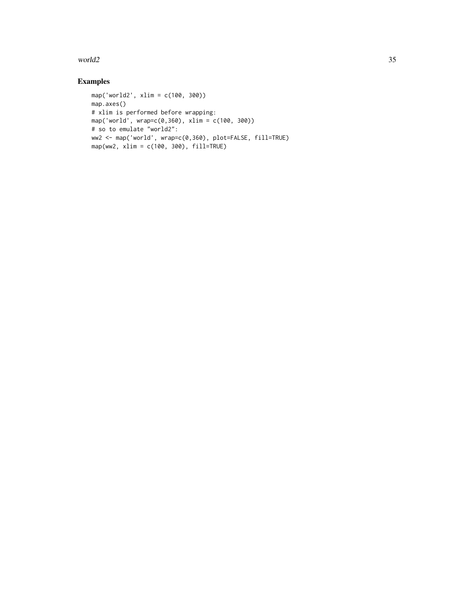#### world2 35

```
map('world2', xlim = c(100, 300))
map.axes()
# xlim is performed before wrapping:
map('world', wrap=c(0,360), xlim = c(100, 300))
# so to emulate "world2":
ww2 <- map('world', wrap=c(0,360), plot=FALSE, fill=TRUE)
map(ww2, xlim = c(100, 300), fill=TRUE)
```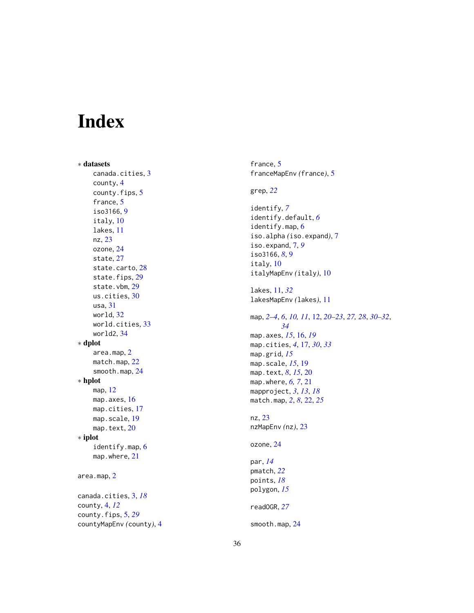# <span id="page-35-0"></span>Index

∗ datasets canada.cities , [3](#page-2-0) county , [4](#page-3-0) county.fips, [5](#page-4-0) france, [5](#page-4-0) iso3166 , [9](#page-8-0) italy , [10](#page-9-0) lakes , [11](#page-10-0) nz , [23](#page-22-0) ozone , [24](#page-23-0) state , [27](#page-26-0) state.carto, [28](#page-27-0) state.fips, [29](#page-28-0) state.vbm, [29](#page-28-0) us.cities, [30](#page-29-0) usa , [31](#page-30-0) world , [32](#page-31-0) world.cities, [33](#page-32-0) world2 , [34](#page-33-0) ∗ dplot area.map , [2](#page-1-0) match.map, [22](#page-21-0) smooth.map , [24](#page-23-0) ∗ hplot map , [12](#page-11-0) <code>map.axes</code>,  $16$ map.cities , [17](#page-16-0) map.scale, [19](#page-18-0) map.text, [20](#page-19-0) ∗ iplot identify.map, [6](#page-5-0) map.where , [21](#page-20-0) area.map , [2](#page-1-0) canada.cities , [3](#page-2-0) , *[18](#page-17-0)* county , [4](#page-3-0) , *[12](#page-11-0)* county.fips , [5](#page-4-0) , *[29](#page-28-0)* countyMapEnv *(*county *)* , [4](#page-3-0) france, [5](#page-4-0) franceMapEnv *(*france *)* , [5](#page-4-0) grep , *[22](#page-21-0)* identify , *[7](#page-6-0)* identify.default , *[6](#page-5-0)* identify.map, [6](#page-5-0) iso.alpha *(*iso.expand *)* , [7](#page-6-0) iso.expand , [7](#page-6-0) , *[9](#page-8-0)* iso3166, [8](#page-7-0), [9](#page-8-0) italy , [10](#page-9-0) italyMapEnv *(*italy *)* , [10](#page-9-0) lakes , [11](#page-10-0) , *[32](#page-31-0)* lakesMapEnv *(*lakes *)* , [11](#page-10-0) map, [2](#page-1-0)[–4](#page-3-0), [6](#page-5-0), [10](#page-9-0), [11](#page-10-0), [12](#page-11-0), [20](#page-19-0)[–23](#page-22-0), [27,](#page-26-0) [28](#page-27-0), [30](#page-29-0)[–32](#page-31-0), *[34](#page-33-0)* map.axes , *[15](#page-14-0)* , [16](#page-15-0) , *[19](#page-18-0)* map.cities , *[4](#page-3-0)* , [17](#page-16-0) , *[30](#page-29-0)* , *[33](#page-32-0)* map.grid , *[15](#page-14-0)* map.scale , *[15](#page-14-0)* , [19](#page-18-0) map.text , *[8](#page-7-0)* , *[15](#page-14-0)* , [20](#page-19-0) map.where , *[6,](#page-5-0) [7](#page-6-0)* , [21](#page-20-0) mapproject , *[3](#page-2-0)* , *[13](#page-12-0)* , *[18](#page-17-0)* match.map , *[2](#page-1-0)* , *[8](#page-7-0)* , [22](#page-21-0) , *[25](#page-24-0)* nz , [23](#page-22-0) nzMapEnv *(*nz *)* , [23](#page-22-0) ozone , [24](#page-23-0) par , *[14](#page-13-0)* pmatch , *[22](#page-21-0)* points , *[18](#page-17-0)* polygon , *[15](#page-14-0)* readOGR , *[27](#page-26-0)* smooth.map , [24](#page-23-0)